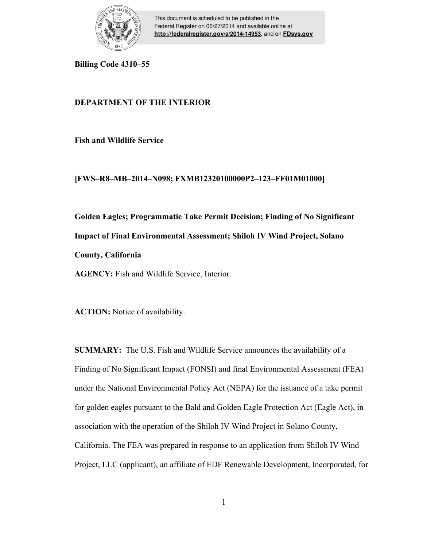

This document is scheduled to be published in the Federal Register on 06/27/2014 and available online at **<http://federalregister.gov/a/2014-14953>**, and on **[FDsys.gov](http://federalregister.gov/a/2014-14953.pdf)**

**Billing Code 4310–55** 

# **DEPARTMENT OF THE INTERIOR**

**Fish and Wildlife Service** 

### **[FWS–R8–MB–2014–N098; FXMB12320100000P2–123–FF01M01000]**

**Golden Eagles; Programmatic Take Permit Decision; Finding of No Significant Impact of Final Environmental Assessment; Shiloh IV Wind Project, Solano County, California** 

**AGENCY:** Fish and Wildlife Service, Interior.

**ACTION:** Notice of availability.

**SUMMARY:** The U.S. Fish and Wildlife Service announces the availability of a Finding of No Significant Impact (FONSI) and final Environmental Assessment (FEA) under the National Environmental Policy Act (NEPA) for the issuance of a take permit for golden eagles pursuant to the Bald and Golden Eagle Protection Act (Eagle Act), in association with the operation of the Shiloh IV Wind Project in Solano County, California. The FEA was prepared in response to an application from Shiloh IV Wind Project, LLC (applicant), an affiliate of EDF Renewable Development, Incorporated, for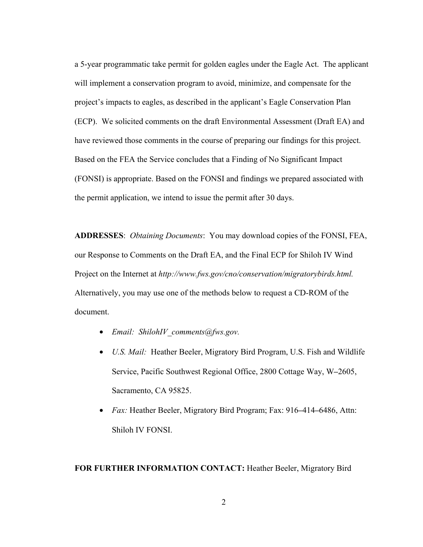a 5-year programmatic take permit for golden eagles under the Eagle Act. The applicant will implement a conservation program to avoid, minimize, and compensate for the project's impacts to eagles, as described in the applicant's Eagle Conservation Plan (ECP). We solicited comments on the draft Environmental Assessment (Draft EA) and have reviewed those comments in the course of preparing our findings for this project. Based on the FEA the Service concludes that a Finding of No Significant Impact (FONSI) is appropriate. Based on the FONSI and findings we prepared associated with the permit application, we intend to issue the permit after 30 days.

**ADDRESSES**: *Obtaining Documents*: You may download copies of the FONSI, FEA, our Response to Comments on the Draft EA, and the Final ECP for Shiloh IV Wind Project on the Internet at *http://www.fws.gov/cno/conservation/migratorybirds.html.* Alternatively, you may use one of the methods below to request a CD-ROM of the document.

- *Email: ShilohIV\_comments@fws.gov.*
- *U.S. Mail:* Heather Beeler, Migratory Bird Program, U.S. Fish and Wildlife Service, Pacific Southwest Regional Office, 2800 Cottage Way, W**–**2605, Sacramento, CA 95825.
- *Fax:* Heather Beeler, Migratory Bird Program; Fax: 916**–**414**–**6486, Attn: Shiloh IV FONSI.

#### **FOR FURTHER INFORMATION CONTACT:** Heather Beeler, Migratory Bird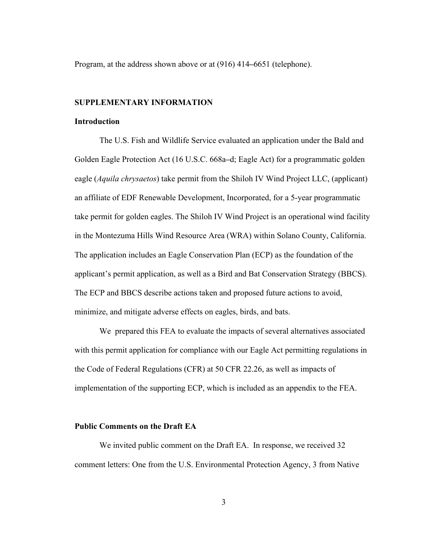Program, at the address shown above or at (916) 414**–**6651 (telephone).

#### **SUPPLEMENTARY INFORMATION**

### **Introduction**

The U.S. Fish and Wildlife Service evaluated an application under the Bald and Golden Eagle Protection Act (16 U.S.C. 668a**–**d; Eagle Act) for a programmatic golden eagle (*Aquila chrysaetos*) take permit from the Shiloh IV Wind Project LLC, (applicant) an affiliate of EDF Renewable Development, Incorporated, for a 5-year programmatic take permit for golden eagles. The Shiloh IV Wind Project is an operational wind facility in the Montezuma Hills Wind Resource Area (WRA) within Solano County, California. The application includes an Eagle Conservation Plan (ECP) as the foundation of the applicant's permit application, as well as a Bird and Bat Conservation Strategy (BBCS). The ECP and BBCS describe actions taken and proposed future actions to avoid, minimize, and mitigate adverse effects on eagles, birds, and bats.

 We prepared this FEA to evaluate the impacts of several alternatives associated with this permit application for compliance with our Eagle Act permitting regulations in the Code of Federal Regulations (CFR) at 50 CFR 22.26, as well as impacts of implementation of the supporting ECP, which is included as an appendix to the FEA.

### **Public Comments on the Draft EA**

We invited public comment on the Draft EA. In response, we received 32 comment letters: One from the U.S. Environmental Protection Agency, 3 from Native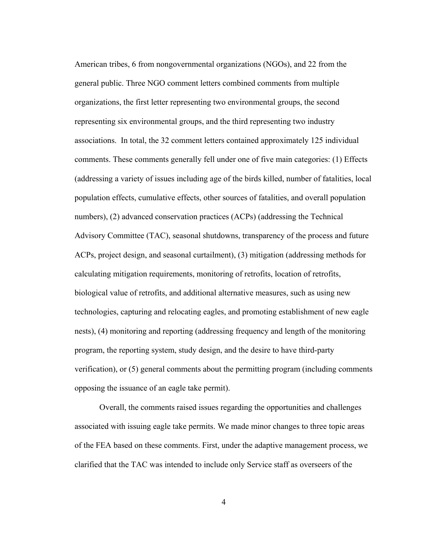American tribes, 6 from nongovernmental organizations (NGOs), and 22 from the general public. Three NGO comment letters combined comments from multiple organizations, the first letter representing two environmental groups, the second representing six environmental groups, and the third representing two industry associations. In total, the 32 comment letters contained approximately 125 individual comments. These comments generally fell under one of five main categories: (1) Effects (addressing a variety of issues including age of the birds killed, number of fatalities, local population effects, cumulative effects, other sources of fatalities, and overall population numbers), (2) advanced conservation practices (ACPs) (addressing the Technical Advisory Committee (TAC), seasonal shutdowns, transparency of the process and future ACPs, project design, and seasonal curtailment), (3) mitigation (addressing methods for calculating mitigation requirements, monitoring of retrofits, location of retrofits, biological value of retrofits, and additional alternative measures, such as using new technologies, capturing and relocating eagles, and promoting establishment of new eagle nests), (4) monitoring and reporting (addressing frequency and length of the monitoring program, the reporting system, study design, and the desire to have third-party verification), or (5) general comments about the permitting program (including comments opposing the issuance of an eagle take permit).

 Overall, the comments raised issues regarding the opportunities and challenges associated with issuing eagle take permits. We made minor changes to three topic areas of the FEA based on these comments. First, under the adaptive management process, we clarified that the TAC was intended to include only Service staff as overseers of the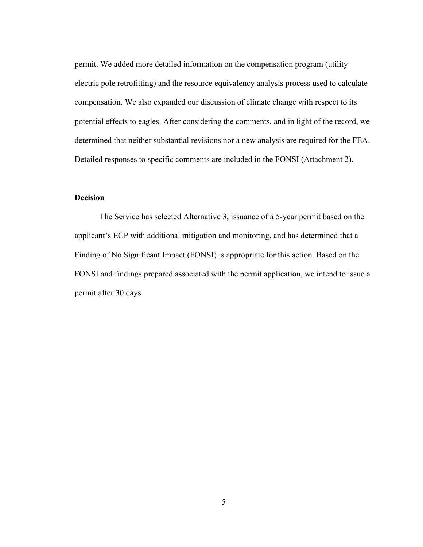permit. We added more detailed information on the compensation program (utility electric pole retrofitting) and the resource equivalency analysis process used to calculate compensation. We also expanded our discussion of climate change with respect to its potential effects to eagles. After considering the comments, and in light of the record, we determined that neither substantial revisions nor a new analysis are required for the FEA. Detailed responses to specific comments are included in the FONSI (Attachment 2).

### **Decision**

The Service has selected Alternative 3, issuance of a 5-year permit based on the applicant's ECP with additional mitigation and monitoring, and has determined that a Finding of No Significant Impact (FONSI) is appropriate for this action. Based on the FONSI and findings prepared associated with the permit application, we intend to issue a permit after 30 days.